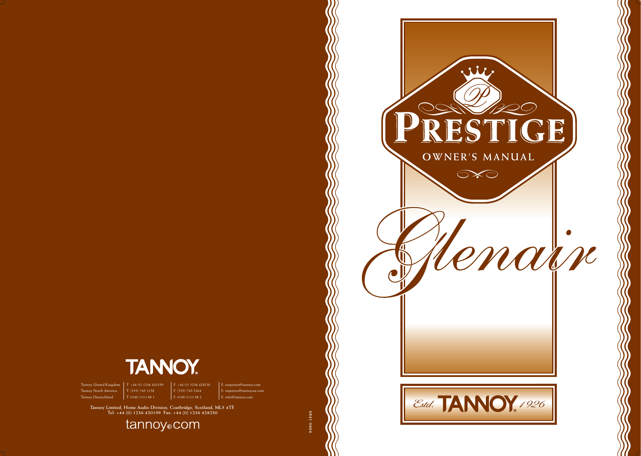

Tannoy United Kingdom | T: +44 (0) 1236 420199 | F: +44 (0) 1236 428230 | E: enquiries@tannoy.com Tannoy North America T: (519) 745 1158 F: (519) 745 2364 E: inquiries@tannoyna.com

 $\frac{1}{10}$  T: 0180 1111 88 1

Tannoy Limited, Home Audio Division, Coatbridge, Scotland, ML5 4TF.<br>Tel: +44 (0) 1236 420199 Fax: +44 (0) 1236 428230

tannoy<sub>o</sub>com





**6841 0464**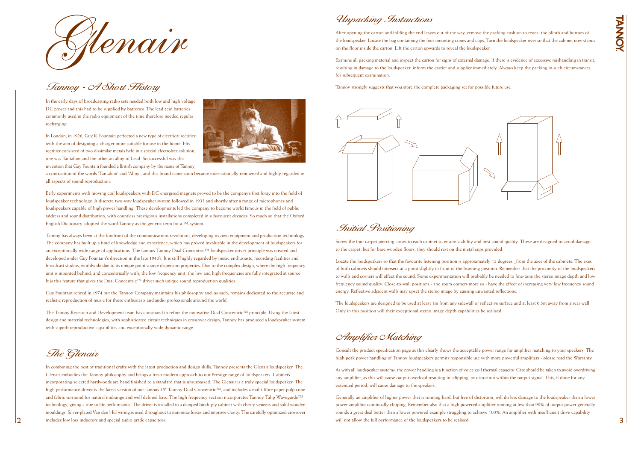

# Tannoy - A Short History

In the early days of broadcasting radio sets needed both low and high voltage DC power and this had to be supplied by batteries. The lead acid batteries commonly used in the radio equipment of the time therefore needed regular recharging.

In London, in 1926, Guy R. Fountain perfected a new type of electrical rectifier with the aim of designing a charger more suitable for use in the home. His rectifier consisted of two dissimilar metals held in a special electrolyte solution; one was Tantalum and the other an alloy of Lead. So successful was this invention that Guy Fountain founded a British company by the name of Tannoy,



Tannoy has always been at the forefront of the communications revolution, developing its own equipment and production technology. The company has built up a fund of knowledge and experience, which has proved invaluable in the development of loudspeakers for an exceptionally wide range of applications. The famous Tannoy Dual Concentric™ loudspeaker driver principle was created and developed under Guy Fountain's direction in the late 1940's. It is still highly regarded by music enthusiasts, recording facilities and broadcast studios, worldwide due to its unique point source dispersion properties. Due to the complex design, where the high frequency unit is mounted behind, and concentrically with, the low frequency unit, the low and high frequencies are fully integrated at source. It is this feature that gives the Dual Concentric<sup>™</sup> driver such unique sound reproduction qualities.

a contraction of the words 'Tantalum' and 'Alloy', and this brand name soon became internationally renowned and highly regarded in all aspects of sound reproduction.

Early experiments with moving coil loudspeakers with DC energised magnets proved to be the company's first foray into the field of loudspeaker technology. A discrete two-way loudspeaker system followed in 1933 and shortly after a range of microphones and loudspeakers capable of high power handling. These developments led the company to become world famous in the field of public address and sound distribution, with countless prestigious installations completed in subsequent decades. So much so that the Oxford English Dictionary adopted the word Tannoy as the generic term for a PA system.

Guy Fountain retired in 1974 but the Tannoy Company maintains his philosophy and, as such, remains dedicated to the accurate and realistic reproduction of music for those enthusiasts and audio professionals around the world.

The Tannoy Research and Development team has continued to refine the innovative Dual Concentric™ principle. Using the latest design and material technologies, with sophisticated circuit techniques in crossover design; Tannoy has produced a loudspeaker system with superb reproductive capabilities and exceptionally wide dynamic range.

### Initial Positioning

Screw the four carpet piercing cones to each cabinet to ensure stability and best sound quality. These are designed to avoid damage to the carpet, but for bare wooden floors, they should rest on the metal cups provided.

2 **3** includes low loss inductors and special audio grade capacitors. Subseteded and special audio grade capacitors. Generally an amplifier of higher power that is running hard, but free of distortion, will do less damage to the loudspeaker than a lower power amplifier continually clipping. Remember also that a high powered amplifier running at less than 90% of output power generally sounds a great deal better than a lower powered example struggling to achieve 100%. An amplifier with insufficient drive capability

**FANNOY** 

Locate the loudspeakers so that the favourite listening position is approximately 15 degrees \_from the axes of the cabinets. The axes of both cabinets should intersect at a point slightly in front of the listening position. Remember that the proximity of the loudspeakers to walls and corners will affect the sound. Some experimentation will probably be needed to fine-tune the stereo image depth and low frequency sound quality. Close-to-wall positions - and room corners more so - have the effect of increasing very low frequency sound energy. Reflective adjacent walls may upset the stereo image by causing unwanted reflections.

The loudspeakers are designed to be used at least 1m from any sidewall or reflective surface and at least 0.5m away from a rear wall. Only in this position will their exceptional stereo image depth capabilities be realised.

Unpacking Instructions

After opening the carton and folding the end leaves out of the way, remove the packing cushion to reveal the plinth and bottom of the loudspeaker. Locate the bag containing the four mounting cones and cups. Turn the loudspeaker over so that the cabinet now stands on the floor inside the carton. Lift the carton upwards to reveal the loudspeaker.

Examine all packing material and inspect the carton for signs of external damage. If there is evidence of excessive mishandling in transit, resulting in damage to the loudspeaker, inform the carrier and supplier immediately. Always keep the packing in such circumstances for subsequent examination.

Tannoy strongly suggests that you store the complete packaging set for possible future use.



# The Glenair

In combining the best of traditional crafts with the latest production and design skills, Tannoy presents the Glenair loudspeaker. The Glenair embodies the Tannoy philosophy and brings a fresh modern approach to our Prestige range of loudspeakers. Cabinets incorporating selected hardwoods are hand finished to a standard that is unsurpassed. The Glenair is a truly special loudspeaker. The high performance driver is the latest version of our famous 15" Tannoy Dual Concentric™, and includes a multi-fibre paper pulp cone and fabric surround for natural midrange and well defined bass. The high frequency section incorporates Tannoy Tulip Waveguide™ technology, giving a true to life performance. The driver is installed in a damped birch-ply cabinet with cherry veneers and solid wooden mouldings. Silver-plated Van den Hul wiring is used throughout to minimize losses and improve clarity. The carefully optimized crossover includes low loss inductors and special audio grade capacitors.

Amplifier Matching

Consult the product specification page as this clearly shows the acceptable power range for amplifier matching to your speakers. The high peak power handling of Tannoy loudspeakers permits responsible use with more powerful amplifiers - please read the Warranty.

As with all loudspeaker systems, the power handling is a function of voice coil thermal capacity. Care should be taken to avoid overdriving any amplifier, as this will cause output overload resulting in 'clipping' or distortion within the output signal. This, if done for any extended period, will cause damage to the speakers.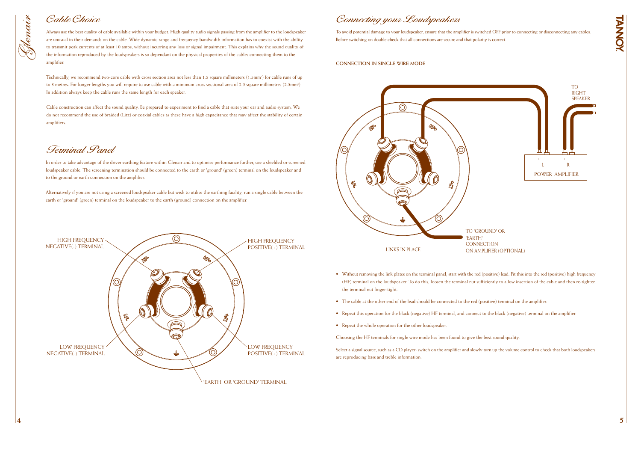**TANNOY** 

To avoid potential damage to your loudspeaker, ensure that the amplifier is switched OFF prior to connecting or disconnecting any cables. Before switching on double check that all connections are secure and that polarity is correct.

#### **CONNECTION IN SINGLE WIRE MODE**

- Without removing the link plates on the terminal panel, start with the red (positive) lead. Fit this into the red (positive) high frequency (HF) terminal on the loudspeaker. To do this, loosen the terminal nut sufficiently to allow insertion of the cable and then re-tighten the terminal nut finger-tight.
- The cable at the other end of the lead should be connected to the red (positive) terminal on the amplifier.
- Repeat this operation for the black (negative) HF terminal, and connect to the black (negative) terminal on the amplifier.
- Repeat the whole operation for the other loudspeaker.

Choosing the HF terminals for single wire mode has been found to give the best sound quality.

Technically, we recommend two-core cable with cross section area not less than 1.5 square millimeters (1.5mm<sup>2</sup>) for cable runs of up to 3 metres. For longer lengths you will require to use cable with a minimum cross sectional area of 2.5 square millimetres (2.5mm<sup>2</sup>). In addition always keep the cable runs the same length for each speaker.

> Select a signal source, such as a CD player; switch on the amplifier and slowly turn up the volume control to check that both loudspeakers are reproducing bass and treble information.

# Connecting your Loudspeakers

Always use the best quality of cable available within your budget. High quality audio signals passing from the amplifier to the loudspeaker are unusual in their demands on the cable. Wide dynamic range and frequency bandwidth information has to coexist with the ability to transmit peak currents of at least 10 amps, without incurring any loss or signal impairment. This explains why the sound quality of the information reproduced by the loudspeakers is so dependant on the physical properties of the cables connecting them to the amplifier.

Cable construction can affect the sound quality. Be prepared to experiment to find a cable that suits your ear and audio system. We do not recommend the use of braided (Litz) or coaxial cables as these have a high capacitance that may affect the stability of certain amplifiers.

# Cable Choice

Nenain

In order to take advantage of the driver earthing feature within Glenair and to optimise performance further, use a shielded or screened loudspeaker cable. The screening termination should be connected to the earth or 'ground' (green) terminal on the loudspeaker and to the ground or earth connection on the amplifier.

Alternatively if you are not using a screened loudspeaker cable but wish to utilise the earthing facility, run a single cable between the earth or 'ground' (green) terminal on the loudspeaker to the earth (ground) connection on the amplifier.

### Terminal Panel



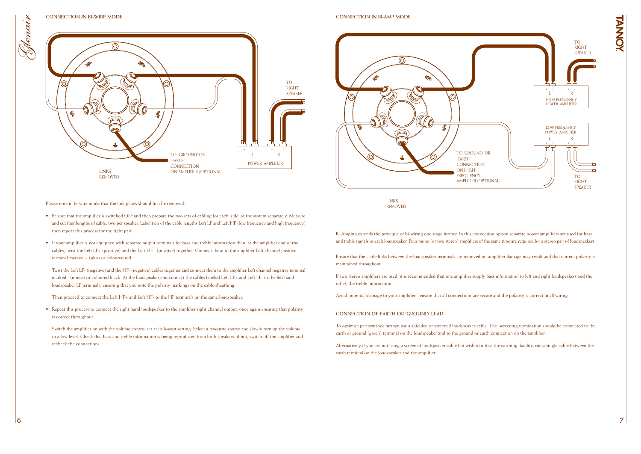HANNA

#### **CONNECTION IN BI-WIRE MODE**

Please note in bi-wire mode that the link plates should first be removed.

- Be sure that the amplifier is switched OFF and then prepare the two sets of cabling for each 'side' of the system separately. Measure and cut four lengths of cable, two per speaker. Label two of the cable lengths Left LF and Left HF (low frequency and high frequency) then repeat this process for the right pair.
- If your amplifier is not equipped with separate output terminals for bass and treble information then, at the amplifier end of the cables, twist the Left LF+ (positive) and the Left HF+ (positive) together. Connect these to the amplifier Left channel positive terminal marked + (plus) or coloured red.

• Repeat this process to connect the right hand loudspeaker to the amplifier right channel output, once again ensuring that polarity is correct throughout.

Twist the Left LF- (negative) and the HF- (negative) cables together and connect them to the amplifier Left channel negative terminal marked - (minus) or coloured black. At the loudspeaker end connect the cables labeled Left LF+ and Left LF- to the left hand loudspeaker LF terminals, ensuring that you note the polarity markings on the cable sheathing.

Then proceed to connect the Left HF+ and Left HF- to the HF terminals on the same loudspeaker.

Switch the amplifier on with the volume control set at its lowest setting. Select a favourite source and slowly turn up the volume to a low level. Check that bass and treble information is being reproduced from both speakers- if not, switch off the amplifier and recheck the connections.

VO)  $\mathbb{F}/$ TO 'GROUND' OR 'EARTH' **CONNECTION** ON HIGH **FREQUENCY** AMPLIFIER (OPTIONAL)



**CONNECTION IN BI-AMP MODE**

Bi-Amping extends the principle of bi-wiring one stage further. In this connection option separate power amplifiers are used for bass and treble signals in each loudspeaker. Four mono (or two stereo) amplifiers of the same type are required for a stereo pair of loudspeakers.

Ensure that the cable links between the loudspeaker terminals are removed or amplifier damage may result and that correct polarity is maintained throughout.

If two stereo amplifiers are used, it is recommended that one amplifier supply bass information to left and right loudspeakers and the other, the treble information.

Avoid potential damage to your amplifier - ensure that all connections are secure and the polarity is correct in all wiring.

### **CONNECTION OF EARTH OR 'GROUND' LEAD**

To optimise performance further, use a shielded or screened loudspeaker cable. The screening termination should be connected to the earth or ground (green) terminal on the loudspeaker and to the ground or earth connection on the amplifier.

Alternatively if you are not using a screened loudspeaker cable but wish to utilise the earthing facility, run a single cable between the earth terminal on the loudspeaker and the amplifier.

LINKS REMOVED

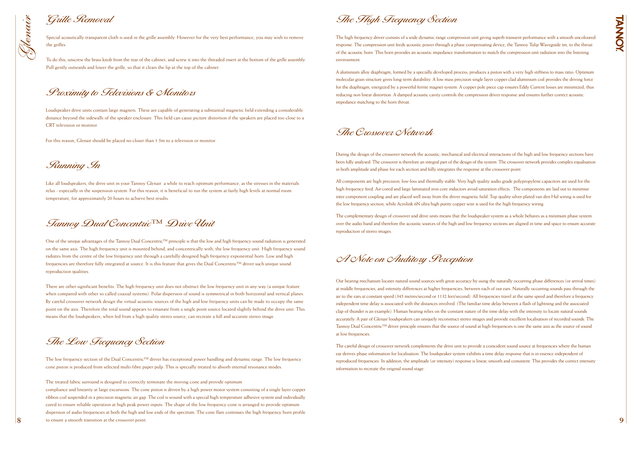Special acoustically transparent cloth is used in the grille assembly. However for the very best performance, you may wish to remove the grilles.

To do this, unscrew the brass knob from the rear of the cabinet, and screw it into the threaded insert at the bottom of the grille assembly. Pull gently outwards and lower the grille, so that it clears the lip at the top of the cabinet.

### Grille Removal



Loudspeaker drive units contain large magnets. These are capable of generating a substantial magnetic field extending a considerable distance beyond the sidewalls of the speaker enclosure. This field can cause picture distortion if the speakers are placed too close to a CRT television or monitor.

For this reason, Glenair should be placed no closer than 1.5m to a television or monitor.

Proximity to Televisions & Monitors

Like all loudspeakers, the drive unit in your Tannoy Glenair a while to reach optimum performance, as the stresses in the materials relax - especially in the suspension system. For this reason, it is beneficial to run the system at fairly high levels at normal room temperature, for approximately 20 hours to achieve best results.

Running In

One of the unique advantages of the Tannoy Dual Concentric™ principle is that the low and high frequency sound radiation is generated on the same axis. The high frequency unit is mounted behind, and concentrically with, the low frequency unit. High frequency sound radiates from the centre of the low frequency unit through a carefully designed high frequency exponential horn. Low and high frequencies are therefore fully integrated at source. It is this feature that gives the Dual Concentric™ driver such unique sound reproduction qualities.

**8 b** to ensure a smooth transition at the crossover point. compliance and linearity at large excursions. The cone piston is driven by a high power motor system consisting of a single layer copper ribbon coil suspended in a precision magnetic air gap. The coil is wound with a special high temperature adhesive system and individually cured to ensure reliable operation at high peak power inputs. The shape of the low frequency cone is arranged to provide optimum dispersion of audio frequencies at both the high and low ends of the spectrum. The cone flare continues the high frequency horn profile to ensure a smooth transition at the crossover point.

There are other significant benefits. The high frequency unit does not obstruct the low frequency unit in any way (a unique feature when compared with other so called coaxial systems). Polar dispersion of sound is symmetrical in both horizontal and vertical planes. By careful crossover network design the virtual acoustic sources of the high and low frequency units can be made to occupy the same point on the axis. Therefore the total sound appears to emanate from a single point source located slightly behind the drive unit. This means that the loudspeakers, when fed from a high quality stereo source, can recreate a full and accurate stereo image.

Tannoy Dual Concentric™ Drive Unit

The low frequency section of the Dual Concentric™ driver has exceptional power handling and dynamic range. The low frequency cone piston is produced from selected multi-fibre paper pulp. This is specially treated to absorb internal resonance modes.

The treated fabric surround is designed to correctly terminate the moving cone and provide optimum

The Low Frequency Section

The high frequency driver consists of a wide dynamic range compression unit giving superb transient performance with a smooth uncoloured response. The compression unit feeds acoustic power through a phase compensating device, the Tannoy Tulip Waveguide tm, to the throat of the acoustic horn. This horn provides an acoustic impedance transformation to match the compression unit radiation into the listening environment.

A aluminium alloy diaphragm, formed by a specially developed process, produces a piston with a very high stiffness to mass ratio. Optimum molecular grain structure gives long-term durability. A low mass precision single layer copper clad aluminium coil provides the driving force for the diaphragm, energized by a powerful ferrite magnet system. A copper pole piece cap ensures Eddy Current losses are minimized, thus reducing non linear distortion. A damped acoustic cavity controls the compression driver response and ensures further correct acoustic impedance matching to the horn throat.

The High Frequency Section

During the design of the crossover network the acoustic, mechanical and electrical interactions of the high and low frequency sections have been fully analysed. The crossover is therefore an integral part of the design of the system. The crossover network provides complex equalisation in both amplitude and phase for each section and fully integrates the response at the crossover point.

All components are high precision, low-loss and thermally stable. Very high quality audio grade polypropylene capacitors are used for the high frequency feed. Air-cored and large laminated iron core inductors avoid saturation effects. The components are laid out to minimise inter component coupling and are placed well away from the driver magnetic field. Top quality silver-plated van den Hul wiring is used for the low frequency section, while Acrolink 6N ultra high purity copper wire is used for the high frequency wiring.

The complementary design of crossover and drive units means that the loudspeaker system as a whole behaves as a minimum phase system over the audio band and therefore the acoustic sources of the high and low frequency sections are aligned in time and space to ensure accurate reproduction of stereo images.

### The Crossover Network

Our hearing mechanism locates natural sound sources with great accuracy by using the naturally occurring phase differences (or arrival times) at middle frequencies, and intensity differences at higher frequencies, between each of our ears. Naturally occurring sounds pass through the air to the ears at constant speed (345 metres/second or 1132 feet/second). All frequencies travel at the same speed and therefore a frequency independent time delay is associated with the distances involved. (The familiar time delay between a flash of lightning and the associated clap of thunder is an example). Human hearing relies on the constant nature of the time delay with the intensity to locate natural sounds accurately. A pair of Glenair loudspeakers can uniquely reconstruct stereo images and provide excellent localisation of recorded sounds. The Tannoy Dual Concentric™ driver principle ensures that the source of sound at high frequencies is one the same axis as the source of sound at low frequencies.

The careful design of crossover network complements the drive unit to provide a coincident sound source at frequencies where the human ear derives phase information for localisation. The loudspeaker system exhibits a time delay response that is in essence independent of reproduced frequencies. In addition, the amplitude (or intensity) response is linear, smooth and consistent. This provides the correct intensity information to recreate the original sound stage.

A Note on Auditory Perception